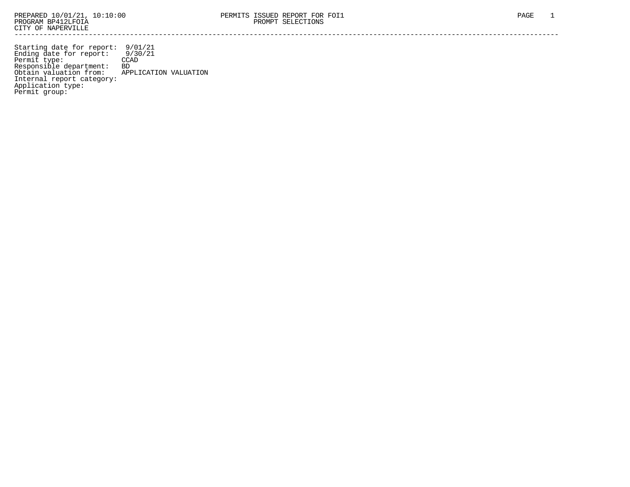Starting date for report: 9/01/21 Ending date for report: 9/30/21 Permit type: CCAD Responsible department: BD Obtain valuation from: APPLICATION VALUATION Internal report category: Application type: Permit group: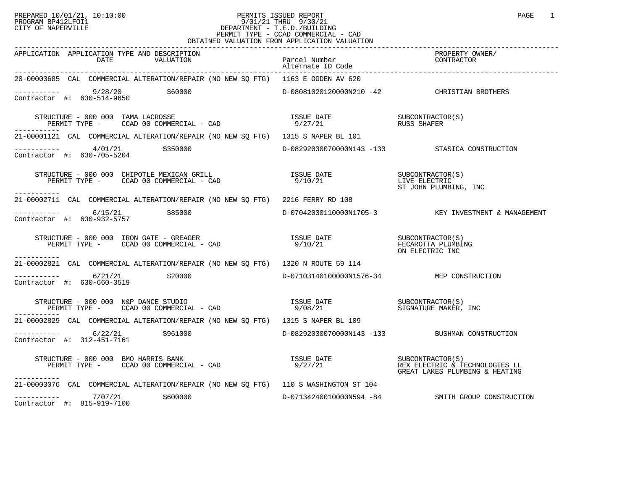# PREPARED 10/01/21, 10:10:00 PERMITS ISSUED REPORT PAGE 1 PAGE 1 PROGRAM BP412LFOI1 9/01/21 THRU 9/30/21 CITY OF NAPERVILLE **Example 20** CITY OF NAPERVILLE PERMIT TYPE - CCAD COMMERCIAL - CAD OBTAINED VALUATION FROM APPLICATION VALUATION

| APPLICATION APPLICATION TYPE AND DESCRIPTION<br>DATE<br>VALUATION                                                                                                                                                                                                                                                                                                                                                                                                           | Parcel Number<br>Alternate ID Code        | ----------<br>PROPERTY OWNER/<br>CONTRACTOR         |
|-----------------------------------------------------------------------------------------------------------------------------------------------------------------------------------------------------------------------------------------------------------------------------------------------------------------------------------------------------------------------------------------------------------------------------------------------------------------------------|-------------------------------------------|-----------------------------------------------------|
| 20-00003685 CAL COMMERCIAL ALTERATION/REPAIR (NO NEW SO FTG) 1163 E OGDEN AV 620                                                                                                                                                                                                                                                                                                                                                                                            |                                           |                                                     |
| $\begin{array}{cccc}\n-222 & -222 & -225 \\ \text{Contractor} & +2 & 630-514-9650\n\end{array}$ \$60000                                                                                                                                                                                                                                                                                                                                                                     |                                           | D-08081020120000N210 -42 CHRISTIAN BROTHERS         |
| $\begin{array}{cccccc} \texttt{STRUCTURE} & - & 000 & 000 & \texttt{TAMA} & \texttt{LACROSSE} & & & & & \\ \texttt{PERMIT TYPE} & - & \texttt{CCAD} & 00 & \texttt{COMMERCIAL} & - & \texttt{CAD} & & & & & \\ \end{array} \qquad \begin{array}{cccccc} \texttt{ISSUE} & \texttt{DATE} & & & & & \\ \texttt{SUSE} & \texttt{DATE} & & & & & \\ \texttt{DZT} & 21 & & & & & \\ \end{array} \qquad \begin{array}{cccccc} \texttt{SUSS} & \texttt{SHAFER} & & & & \\ \texttt{$ |                                           |                                                     |
| 21-00001121 CAL COMMERCIAL ALTERATION/REPAIR (NO NEW SQ FTG) 1315 S NAPER BL 101                                                                                                                                                                                                                                                                                                                                                                                            |                                           |                                                     |
| $\begin{array}{cccc}\n-2 & -2 & -2 & -2 \\ \text{Contractor} & + & 630-705-5204 & & 3350000\n\end{array}$                                                                                                                                                                                                                                                                                                                                                                   |                                           | D-08292030070000N143 -133 STASICA CONSTRUCTION      |
| $\begin{array}{cccc} \texttt{STRUCTURE} & - & 000 & 000 & \texttt{CHIPOTLE MEXICAN GRLLL} \texttt{CAD} & \texttt{SUSUE DATE} & \texttt{DATE} & \texttt{SUBCONTRACTOR(S)} \\ \texttt{PERMIT TYPE} & - & \texttt{CCAD} & 00 & \texttt{COMMERCIAL} & - \texttt{CAD} & 9/10/21 & \texttt{ST} & \texttt{JOHN PLUMBING} & \texttt{INC} \\ \end{array}$<br>-----------                                                                                                             |                                           |                                                     |
| 21-00002711 CAL COMMERCIAL ALTERATION/REPAIR (NO NEW SQ FTG) 2216 FERRY RD 108                                                                                                                                                                                                                                                                                                                                                                                              |                                           |                                                     |
| $--------- 6/15/21$<br>\$85000<br>Contractor #: $630-932-5757$                                                                                                                                                                                                                                                                                                                                                                                                              |                                           | D-07042030110000N1705-3 KEY INVESTMENT & MANAGEMENT |
| $\begin{array}{cccc} \texttt{STRUCTURE} & - & 000 & 000 & \texttt{IRON} \texttt{GATE} & - & \texttt{GREAGER} & \texttt{ISSUE} \texttt{DATE} & \texttt{SUE} \texttt{OMTE} & \texttt{SUBCONTRACTOR(S)} \\ \texttt{PERMIT TYPE} & - & \texttt{CCAD} \texttt{00 COMMERCIAL} & - & \texttt{CAD} & 9/10/21 & \texttt{VUE} \texttt{OR} & \texttt{SUE} \texttt{OR} \texttt{EECARTC INC} \end{array}$<br>-----------                                                                 |                                           |                                                     |
| 21-00002821 CAL COMMERCIAL ALTERATION/REPAIR (NO NEW SQ FTG) 1320 N ROUTE 59 114                                                                                                                                                                                                                                                                                                                                                                                            |                                           |                                                     |
| $--------- 6/21/21$<br>\$20000<br>Contractor #: 630-660-3519                                                                                                                                                                                                                                                                                                                                                                                                                | D-07103140100000N1576-34 MEP CONSTRUCTION |                                                     |
| $\begin{array}{cccc} \texttt{STRUCTURE} & - & 000 & 000 & \texttt{N&P} & \texttt{DANCE} & \texttt{STUDIO} \\ \texttt{PERMIT TYPE} & - & \texttt{CCAD} & 00 & \texttt{COMMERCIAL} & - & \texttt{CAD} & \texttt{S} & \texttt{008/21} & \texttt{SICNATURE} & \texttt{MAKER, INC} \\ \end{array}$                                                                                                                                                                               |                                           |                                                     |
| 21-00002829 CAL COMMERCIAL ALTERATION/REPAIR (NO NEW SO FTG) 1315 S NAPER BL 109                                                                                                                                                                                                                                                                                                                                                                                            |                                           |                                                     |
| $--------- 6/22/21$ \$961000<br>Contractor #: 312-451-7161                                                                                                                                                                                                                                                                                                                                                                                                                  |                                           | D-08292030070000N143 -133 BUSHMAN CONSTRUCTION      |
| STRUCTURE - 000 000 BMO HARRIS BANK<br>PERMIT TYPE - CCAD 00 COMMERCIAL - CAD 9/27/21 REX ELECTRIC & TECHNOLOGIES LL<br>-----------                                                                                                                                                                                                                                                                                                                                         |                                           | GREAT LAKES PLUMBING & HEATING                      |
| 21-00003076 CAL COMMERCIAL ALTERATION/REPAIR (NO NEW SQ FTG) 110 S WASHINGTON ST 104                                                                                                                                                                                                                                                                                                                                                                                        |                                           |                                                     |
| $---------$ 7/07/21 \$600000<br>Contractor #: 815-919-7100                                                                                                                                                                                                                                                                                                                                                                                                                  |                                           | D-07134240010000N594 -84 SMITH GROUP CONSTRUCTION   |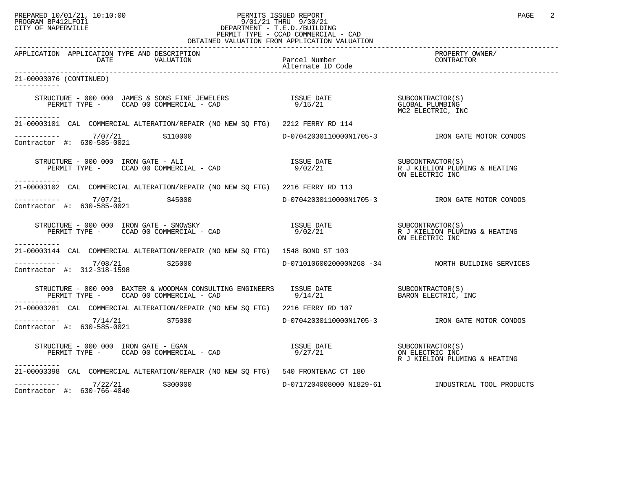## PREPARED 10/01/21, 10:10:00 PERMITS ISSUED REPORT PAGE 2<br>PROGRAM BP412LFOI1 PROGRAM PROGRAM BP412LFOI1 PROGRAM BP412LFOI1 9/01/21 THRU 9/30/21 CITY OF NAPERVILLE **Example 20** CITY OF NAPERVILLE PERMIT TYPE - CCAD COMMERCIAL - CAD OBTAINED VALUATION FROM APPLICATION VALUATION

| APPLICATION APPLICATION TYPE AND DESCRIPTION<br>DATE<br>VALUATION                                                                                                                                                                                                                                                                                                                                                                     | Parcel Number | PROPERTY OWNER/<br>CONTRACTOR                    |
|---------------------------------------------------------------------------------------------------------------------------------------------------------------------------------------------------------------------------------------------------------------------------------------------------------------------------------------------------------------------------------------------------------------------------------------|---------------|--------------------------------------------------|
| 21-00003076 (CONTINUED)                                                                                                                                                                                                                                                                                                                                                                                                               |               |                                                  |
| STRUCTURE – 000 000 JAMES & SONS FINE JEWELERS TSSUE DATE SUBCONTRACTOR(S)<br>PERMIT TYPE – CCAD 00 COMMERCIAL – CAD 9/15/21 9/15/21 MC2 ELECTRIC INC                                                                                                                                                                                                                                                                                 |               | MC2 ELECTRIC, INC                                |
| ----------<br>21-00003101 CAL COMMERCIAL ALTERATION/REPAIR (NO NEW SO FTG) 2212 FERRY RD 114                                                                                                                                                                                                                                                                                                                                          |               |                                                  |
| $\begin{tabular}{ll} \texttt{-----} \texttt{-----} & 7/07/21 & \texttt{$110000} \\ \texttt{Contractor} & \texttt{#:} & 630-585-0021 & \end{tabular}$                                                                                                                                                                                                                                                                                  |               |                                                  |
| STRUCTURE - 000 000 IRON GATE - ALI<br>PERMIT TYPE - CCAD 00 COMMERCIAL - CAD $9/02/21$ Resolution of the subset of the set of the set of the permit of the set of the set of the set of the set of the set of the set of the se<br>------------                                                                                                                                                                                      |               | ON ELECTRIC INC                                  |
| 21-00003102 CAL COMMERCIAL ALTERATION/REPAIR (NO NEW SO FTG) 2216 FERRY RD 113                                                                                                                                                                                                                                                                                                                                                        |               |                                                  |
| ----------- 7/07/21 \$45000<br>Contractor #: 630-585-0021                                                                                                                                                                                                                                                                                                                                                                             |               | D-07042030110000N1705-3 TRON GATE MOTOR CONDOS   |
| STRUCTURE - 000 000 IRON GATE - SNOWSKY<br>PERMIT TYPE - CCAD 00 COMMERCIAL - CAD                                                                                                                                                                                                                                                                                                                                                     |               | ON ELECTRIC INC                                  |
| -----------<br>21-00003144 CAL COMMERCIAL ALTERATION/REPAIR (NO NEW SO FTG) 1548 BOND ST 103                                                                                                                                                                                                                                                                                                                                          |               |                                                  |
| $\begin{array}{cccc}\n-2 & -2 & -2 & -2 \\ \text{Contractor} & +2 & 312-318-1598 & & \text{25000}\n\end{array}$                                                                                                                                                                                                                                                                                                                       |               | D-07101060020000N268 -34 NORTH BUILDING SERVICES |
| $\begin{tabular}{lllllllllll} \texttt{STRUCTURE} & - & 000 & 000 & \texttt{BAXTER} & \texttt{WOODMAN} & \texttt{CONSULTING} & \texttt{ENGINEERS} & & \texttt{ISSUE} & \texttt{DATE} & & & \texttt{SUBCONTRACTOR(S)}\\ & & & \texttt{PERMIT TYPE} & - & & \texttt{CCAD} & 00 & \texttt{COMMERCIAL} & - & \texttt{CAD} & & & \texttt{9/14/21} & & & & \texttt{BARON ELECTRIC} \end{tabular},$<br>PERMIT TYPE - CCAD 00 COMMERCIAL - CAD |               | BARON ELECTRIC, INC                              |
| 21-00003281 CAL COMMERCIAL ALTERATION/REPAIR (NO NEW SQ FTG) 2216 FERRY RD 107                                                                                                                                                                                                                                                                                                                                                        |               |                                                  |
| $\frac{7}{14/21}$ \$75000<br>Contractor #: 630-585-0021                                                                                                                                                                                                                                                                                                                                                                               |               | D-07042030110000N1705-3 TRON GATE MOTOR CONDOS   |
| $\begin{array}{cccc}\texttt{STRUCTURE} & - & 000 & 000 & \texttt{IRON} & \texttt{GATE} & - & \texttt{EGAN} \\ \texttt{PERMIT TYPE} & - & \texttt{CCAD} & 00 & \texttt{COMMERCIAL} & - & \texttt{CAD} & 00 & \texttt{CAMERCIAL} \\ \end{array}$<br>-----------                                                                                                                                                                         |               | R J KIELION PLUMING & HEATING                    |
| 21-00003398 CAL COMMERCIAL ALTERATION/REPAIR (NO NEW SO FTG) 540 FRONTENAC CT 180                                                                                                                                                                                                                                                                                                                                                     |               |                                                  |
| $--------- 7/22/21$<br>\$300000<br>Contractor #: $630-766-4040$                                                                                                                                                                                                                                                                                                                                                                       |               | D-0717204008000 N1829-61 MDUSTRIAL TOOL PRODUCTS |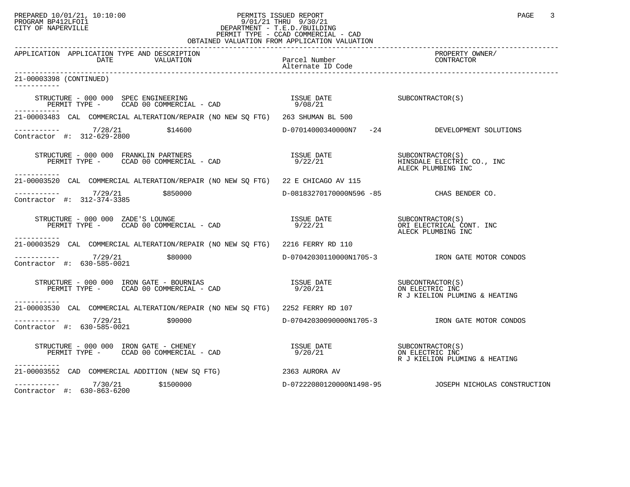## PREPARED 10/01/21, 10:10:00 PERMITS ISSUED REPORT PAGE 3<br>PROGRAM BP412LFOI1 PROGRAM PROGRAM BP412LFOI1 PROGRAM BP412LFOI1 9/01/21 THRU 9/30/21 CITY OF NAPERVILLE **Example 20** CITY OF NAPERVILLE PERMIT TYPE - CCAD COMMERCIAL - CAD OBTAINED VALUATION FROM APPLICATION VALUATION

| APPLICATION APPLICATION TYPE AND DESCRIPTION<br>DATE<br>VALUATION                                                                                                                                                                                              | Parcel Number<br>Alternate ID Code       | PROPERTY OWNER/<br>CONTRACTOR                          |
|----------------------------------------------------------------------------------------------------------------------------------------------------------------------------------------------------------------------------------------------------------------|------------------------------------------|--------------------------------------------------------|
| 21-00003398 (CONTINUED)                                                                                                                                                                                                                                        |                                          |                                                        |
|                                                                                                                                                                                                                                                                | ISSUE DATE<br>9/08/21                    | SUBCONTRACTOR(S)                                       |
| -----------<br>21-00003483 CAL COMMERCIAL ALTERATION/REPAIR (NO NEW SQ FTG) 263 SHUMAN BL 500                                                                                                                                                                  |                                          |                                                        |
| $--------$ 7/28/21 \$14600<br>Contractor #: 312-629-2800                                                                                                                                                                                                       |                                          | D-07014000340000N7 -24 DEVELOPMENT SOLUTIONS           |
| -----------                                                                                                                                                                                                                                                    |                                          | ALECK PLUMBING INC                                     |
| 21-00003520 CAL COMMERCIAL ALTERATION/REPAIR (NO NEW SQ FTG) 22 E CHICAGO AV 115                                                                                                                                                                               |                                          |                                                        |
| ---------- 7/29/21 \$850000<br>Contractor #: 312-374-3385                                                                                                                                                                                                      | D-08183270170000N596 -85 CHAS BENDER CO. |                                                        |
| RUCTURE - 000 000 ZADE'S LOUNGE<br>PERMIT TYPE -     CCAD 00 COMMERCIAL - CAD<br>STRUCTURE - 000 000 ZADE'S LOUNGE<br>------------                                                                                                                             | 9/22/21                                  | ALECK PLUMBING INC                                     |
| 21-00003529 CAL COMMERCIAL ALTERATION/REPAIR (NO NEW SO FTG) 2216 FERRY RD 110                                                                                                                                                                                 |                                          |                                                        |
| $--------- 7/29/21$ \$80000<br>Contractor #: 630-585-0021                                                                                                                                                                                                      |                                          |                                                        |
| $\begin{array}{ccccccccc} \texttt{STRUCTURE} & - & 000 & 000 & \texttt{IRON} & \texttt{GATE} & - & \texttt{BOURNIAS} & & & & & & & & \\ \texttt{PERMIT TYPE} & - & & & & & & & & & & \\ \texttt{PERMIT TYPE} & - & & & & & & & & & \\ \end{array}$             |                                          | R J KIELION PLUMING & HEATING                          |
| 21-00003530 CAL COMMERCIAL ALTERATION/REPAIR (NO NEW SO FTG) 2252 FERRY RD 107                                                                                                                                                                                 |                                          |                                                        |
| Contractor #: 630-585-0021                                                                                                                                                                                                                                     |                                          | D-07042030090000N1705-3 RON GATE MOTOR CONDOS          |
| $\begin{array}{cccccc} \texttt{STRUCTURE} & - & 000 & 000 & \texttt{IRON} & \texttt{GATE} & - & \texttt{CHENEY} & & & & \\ \texttt{PERMIT TYPE} & - & & & & \texttt{CCAD} & 00 & \texttt{COMMERCIAL} & - & \texttt{CAD} & & & & \\ \end{array}$<br>----------- |                                          | R J KIELION PLUMING & HEATING                          |
| 21-00003552 CAD COMMERCIAL ADDITION (NEW SQ FTG) 2363 AURORA AV                                                                                                                                                                                                |                                          |                                                        |
| $---------$ 7/30/21 \$1500000<br>Contractor #: 630-863-6200                                                                                                                                                                                                    |                                          | D-07222080120000N1498-95  JOSEPH NICHOLAS CONSTRUCTION |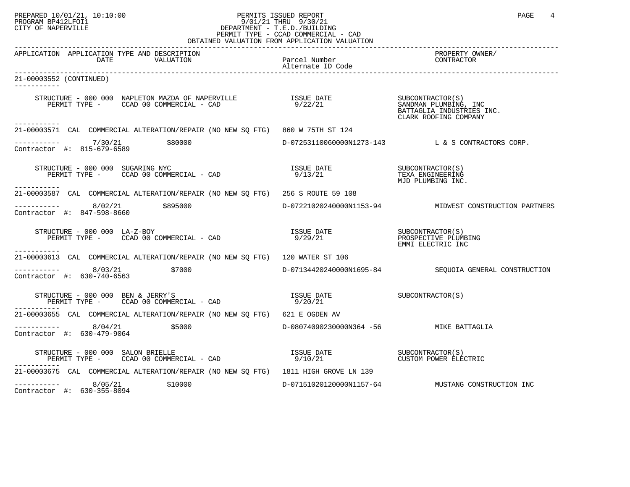#### PREPARED 10/01/21, 10:10:00 PERMITS ISSUED REPORT PAGE 4 PROGRAM BP412LFOI1 9/01/21 THRU 9/30/21 CITY OF NAPERVILLE **Example 20** CITY OF NAPERVILLE PERMIT TYPE - CCAD COMMERCIAL - CAD OBTAINED VALUATION FROM APPLICATION VALUATION

| APPLICATION APPLICATION TYPE AND DESCRIPTION<br>DATE<br>VALUATION                                                                                                                                                                                                                                                                                                                                                                                 | Parcel Number<br>Alternate ID Code      | PROPERTY OWNER/<br>CONTRACTOR                          |
|---------------------------------------------------------------------------------------------------------------------------------------------------------------------------------------------------------------------------------------------------------------------------------------------------------------------------------------------------------------------------------------------------------------------------------------------------|-----------------------------------------|--------------------------------------------------------|
| 21-00003552 (CONTINUED)                                                                                                                                                                                                                                                                                                                                                                                                                           |                                         |                                                        |
| STRUCTURE – 000 000 NAPLETON MAZDA OF NAPERVILLE SUSUE DATE SUBCONTRACTOR(S)<br>PERMIT TYPE – CCAD 00 COMMERCIAL – CAD 9/22/21 SANDMAN PLUMBING, INC                                                                                                                                                                                                                                                                                              |                                         | BATTAGLIA INDUSTRIES INC.<br>CLARK ROOFING COMPANY     |
| 21-00003571 CAL COMMERCIAL ALTERATION/REPAIR (NO NEW SO FTG) 860 W 75TH ST 124                                                                                                                                                                                                                                                                                                                                                                    |                                         |                                                        |
| ---------- 7/30/21 \$80000<br>Contractor #: 815-679-6589                                                                                                                                                                                                                                                                                                                                                                                          |                                         | D-07253110060000N1273-143 L & S CONTRACTORS CORP.      |
| $\begin{array}{cccc}\n \text{STRUCTURE} & - & 000 & 000 & \text{SUGARING NYC} \\  \text{PERMIT TYPE} & - & \text{CCAD} & 00 & \text{COMMERCIAL} & - & \text{CAD} \\  \text{PERMIT TYPE} & - & \text{CCAD} & 00 & \text{COMMERCIAL} & - & \text{CAD} \\  \end{array}$<br>-----------                                                                                                                                                               |                                         | MJD PLUMBING INC.                                      |
| 21-00003587 CAL COMMERCIAL ALTERATION/REPAIR (NO NEW SO FTG) 256 S ROUTE 59 108                                                                                                                                                                                                                                                                                                                                                                   |                                         |                                                        |
| $---------$ 8/02/21 \$895000<br>Contractor #: 847-598-8660                                                                                                                                                                                                                                                                                                                                                                                        |                                         | D-07221020240000N1153-94 MIDWEST CONSTRUCTION PARTNERS |
| $\begin{array}{ccccccccc} \texttt{STRUCTURE} & - & 000 & 000 & \texttt{LA}-\texttt{Z-BOY} & & & & & & \\ \texttt{PERMIT TYPE} & - & \texttt{CCAD} & 00 & \texttt{COMMERCIAL} & - & \texttt{CAD} & & & & & \\ \end{array} \qquad \begin{array}{cccccc} \texttt{ISSUE} & \texttt{DATE} & & & & & & \\ \texttt{SUSIC} & \texttt{DATE} & & & & & & \\ \texttt{DZ} & 00 & \texttt{COMMERCIAL} & - & \texttt{CAD} & & & \\ \end{array}$<br>------------ |                                         | EMMI ELECTRIC INC                                      |
| 21-00003613 CAL COMMERCIAL ALTERATION/REPAIR (NO NEW SO FTG) 120 WATER ST 106                                                                                                                                                                                                                                                                                                                                                                     |                                         |                                                        |
| ---------- 8/03/21<br>\$7000<br>Contractor #: 630-740-6563                                                                                                                                                                                                                                                                                                                                                                                        |                                         | D-07134420240000N1695-84 SEOUOIA GENERAL CONSTRUCTION  |
| STRUCTURE - 000 000 BEN & JERRY'S<br>PERMIT TYPE - CCAD 00 COMMERCIAL - CAD                                                                                                                                                                                                                                                                                                                                                                       | ISSUE DATE SUBCONTRACTOR(S)<br>9/20/21  |                                                        |
| 21-00003655 CAL COMMERCIAL ALTERATION/REPAIR (NO NEW SO FTG) 621 E OGDEN AV                                                                                                                                                                                                                                                                                                                                                                       |                                         |                                                        |
| $--------- 8/04/21$<br>\$5000<br>Contractor #: 630-479-9064                                                                                                                                                                                                                                                                                                                                                                                       | D-08074090230000N364 -56 MIKE BATTAGLIA |                                                        |
| STRUCTURE – 000 000 SALON BRIELLE<br>PERMIT TYPE – CCAD 00 COMMERCIAL – CAD 19/10/21 21 CUSTOM POWER ELECTRIC<br>STRUCTURE - 000 000 SALON BRIELLE<br>-----------                                                                                                                                                                                                                                                                                 |                                         |                                                        |
| 21-00003675 CAL COMMERCIAL ALTERATION/REPAIR (NO NEW SQ FTG) 1811 HIGH GROVE LN 139                                                                                                                                                                                                                                                                                                                                                               |                                         |                                                        |
| $--------- 8/05/21$ \$10000<br>Contractor #: 630-355-8094                                                                                                                                                                                                                                                                                                                                                                                         |                                         | D-07151020120000N1157-64 MUSTANG CONSTRUCTION INC      |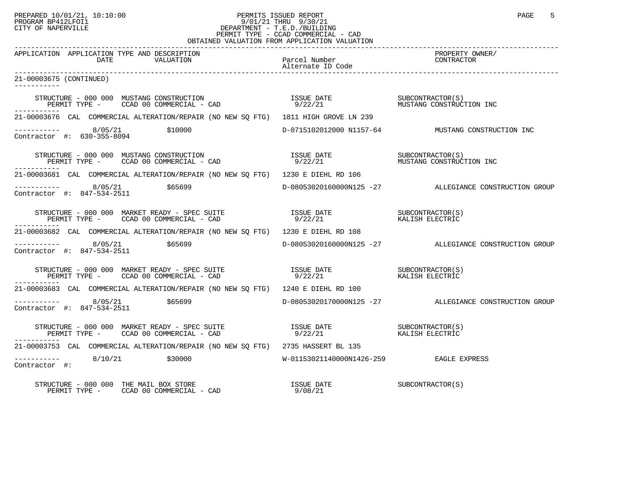## PREPARED 10/01/21, 10:10:00 PERMITS ISSUED REPORT PAGE 5 PROGRAM BP412LFOI1 9/01/21 THRU 9/30/21 CITY OF NAPERVILLE **Example 20** CITY OF NAPERVILLE PERMIT TYPE - CCAD COMMERCIAL - CAD OBTAINED VALUATION FROM APPLICATION VALUATION

| APPLICATION APPLICATION TYPE AND DESCRIPTION<br>DATE<br>VALUATION                                                                                                                                                                                                                                                                                                                                | Parcel Number<br>Alternate ID Code      | PROPERTY OWNER/<br>CONTRACTOR                          |
|--------------------------------------------------------------------------------------------------------------------------------------------------------------------------------------------------------------------------------------------------------------------------------------------------------------------------------------------------------------------------------------------------|-----------------------------------------|--------------------------------------------------------|
| 21-00003675 (CONTINUED)                                                                                                                                                                                                                                                                                                                                                                          |                                         |                                                        |
| $\begin{array}{cccc} \texttt{STRUCTURE} & - & 000 & 000 & \texttt{MUSTANG CONSTRUCTION} \\ \texttt{PERMIT TYPE} & - & \texttt{CCAD} & 00 & \texttt{COMMERCIAL} & - & \texttt{CAD} \\ \end{array} \qquad \begin{array}{cccc} \texttt{ASUE} & \texttt{DATE} & \texttt{SUECONTRACTOR(S)} \\ \texttt{9/22/21} & \texttt{9/22/21} & \texttt{MUSTANG CONSTRUCTION INC} \\ \end{array}$<br>------------ |                                         |                                                        |
| 21-00003676 CAL COMMERCIAL ALTERATION/REPAIR (NO NEW SO FTG) 1811 HIGH GROVE LN 239                                                                                                                                                                                                                                                                                                              |                                         |                                                        |
| ---------- 8/05/21 \$10000 \$10000 D-0715102012000 N1157-64 MUSTANG CONSTRUCTION INC<br>Contractor #: 630-355-8094                                                                                                                                                                                                                                                                               |                                         |                                                        |
| $\begin{array}{cccc} \texttt{STRUCTURE} & - & 000 & 000 & \texttt{MUSTANG CONSTRUCTION} \\ \texttt{PERMIT TYPE} & - & \texttt{CCAD} & 00 & \texttt{COMMERCIAL} & - & \texttt{CAD} \\ \end{array} \qquad \begin{array}{cccc} \texttt{LSUE} & \texttt{DATE} & \texttt{SUBCONTRACTOR(S)} \\ \texttt{9/22/21} & \texttt{9/22/21} & \texttt{MUSTANG CONSTRUCTION INC} \\ \end{array}$<br>-----------  |                                         |                                                        |
| 21-00003681 CAL COMMERCIAL ALTERATION/REPAIR (NO NEW SO FTG) 1230 E DIEHL RD 106                                                                                                                                                                                                                                                                                                                 |                                         |                                                        |
| $---------$ 8/05/21 \$65699<br>Contractor #: $847 - 534 - 2511$                                                                                                                                                                                                                                                                                                                                  |                                         | D-08053020160000N125 -27 ALLEGIANCE CONSTRUCTION GROUP |
| -----------                                                                                                                                                                                                                                                                                                                                                                                      |                                         |                                                        |
| 21-00003682 CAL COMMERCIAL ALTERATION/REPAIR (NO NEW SO FTG) 1230 E DIEHL RD 108                                                                                                                                                                                                                                                                                                                 |                                         |                                                        |
| $8/05/21$ \$65699<br>Contractor #: 847-534-2511                                                                                                                                                                                                                                                                                                                                                  |                                         | D-08053020160000N125 -27 ALLEGIANCE CONSTRUCTION GROUP |
| $\begin{array}{cccc} \texttt{STRUCTURE} & - & 000 & 000 & \texttt{MARKET READV} & - & \texttt{SPEC SUITE} & \texttt{ISSUE DATE} & \texttt{DATE} & \texttt{SUBCONTRACTOR(S)} \\ \texttt{PERMIT TYPE} & - & \texttt{CCAD} & 00 & \texttt{COMMERCIAL} & - & \texttt{CAD} & 9/22/21 & \texttt{XALISH ELECTRIC} \\ \end{array}$                                                                       |                                         |                                                        |
| 21-00003683 CAL COMMERCIAL ALTERATION/REPAIR (NO NEW SQ FTG) 1240 E DIEHL RD 100                                                                                                                                                                                                                                                                                                                 |                                         |                                                        |
| $\begin{array}{cccc}\n - & - & - & - & - - \\  \text{Contractor} & \# & 847 - 534 - 2511 & \end{array}$ \$65699                                                                                                                                                                                                                                                                                  |                                         | D-08053020170000N125 -27 ALLEGIANCE CONSTRUCTION GROUP |
|                                                                                                                                                                                                                                                                                                                                                                                                  |                                         |                                                        |
| 21-00003753 CAL COMMERCIAL ALTERATION/REPAIR (NO NEW SQ FTG) 2735 HASSERT BL 135                                                                                                                                                                                                                                                                                                                 |                                         |                                                        |
| $-$ --------- 8/10/21 \$30000<br>Contractor #:                                                                                                                                                                                                                                                                                                                                                   | W-01153021140000N1426-259 EAGLE EXPRESS |                                                        |
| STRUCTURE – 000 000 THE MAIL BOX STORE<br>PERMIT TYPE – CCAD 00 COMMERCIAL – CAD 9/08/21                                                                                                                                                                                                                                                                                                         | ISSUE DATE SUBCONTRACTOR(S)             |                                                        |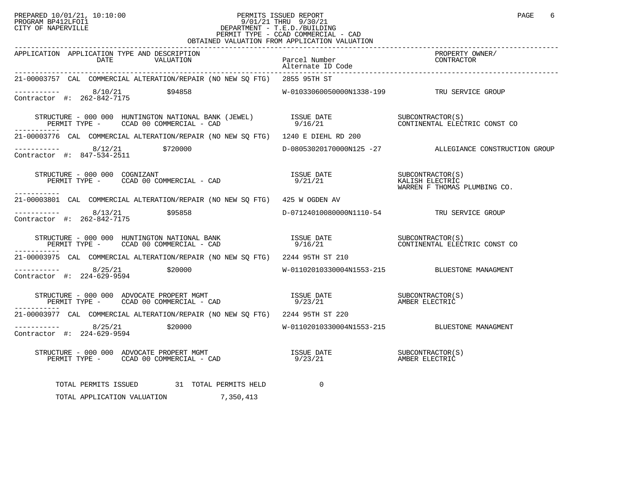## PREPARED 10/01/21, 10:10:00 PERMITS ISSUED REPORT PAGE 6 PROGRAM BP412LFOI1 9/01/21 THRU 9/30/21 CITY OF NAPERVILLE **Example 20** CITY OF NAPERVILLE PERMIT TYPE - CCAD COMMERCIAL - CAD OBTAINED VALUATION FROM APPLICATION VALUATION

| APPLICATION APPLICATION TYPE AND DESCRIPTION<br>DATE<br>VALUATION                                                                                                                                                                                                                                                                                                   | Parcel Number<br>Alternate ID Code          | PROPERTY OWNER/<br>CONTRACTOR                                       |
|---------------------------------------------------------------------------------------------------------------------------------------------------------------------------------------------------------------------------------------------------------------------------------------------------------------------------------------------------------------------|---------------------------------------------|---------------------------------------------------------------------|
| 21-00003757 CAL COMMERCIAL ALTERATION/REPAIR (NO NEW SQ FTG) 2855 95TH ST                                                                                                                                                                                                                                                                                           |                                             |                                                                     |
| $\begin{array}{cccc}\n - & - & - & - & - - \\  \text{Contractor} & + & 262 - 842 - 7175 & \end{array}$ \$94858                                                                                                                                                                                                                                                      | W-01033060050000N1338-199 TRU SERVICE GROUP |                                                                     |
| $\begin{array}{cccccc} \texttt{STRUCTURE} & - & 000 & 000 & \texttt{HUNTINGTON} & \texttt{NAITIONAL BANK} & \texttt{(JEWEL)} & & & & & & & & & & & & & & \\ \texttt{PERMIT TYPE} & - & & & & & & & & & & & & \\ \texttt{PERMIT TYPE} & - & & & & & & & & & & & \\ \end{array}$<br>PERMIT TYPE - CCAD 00 COMMERCIAL - CAD                                            |                                             |                                                                     |
| 21-00003776 CAL COMMERCIAL ALTERATION/REPAIR (NO NEW SQ FTG) 1240 E DIEHL RD 200                                                                                                                                                                                                                                                                                    |                                             |                                                                     |
| $\begin{array}{cccc}\n-2 & -2 & -2 & -2 \\ \text{Contractor} & +2 & 8 & -25 & -25 & -25 \\ \end{array}$ \$720000                                                                                                                                                                                                                                                    |                                             | D-08053020170000N125 -27 ALLEGIANCE CONSTRUCTION GROUP              |
| $T\text{RUCTURE} - 000 000 \space \text{COSNIZANT}$<br>PERMIT TYPE - CCAD 00 COMMERCIAL - CAD 9/21/21<br>STRUCTURE - 000 000 COGNIZANT<br>------------                                                                                                                                                                                                              |                                             | SUBCONTRACTOR(S)<br>KALISH ELECTRIC<br>WARREN F THOMAS PLUMBING CO. |
| 21-00003801 CAL COMMERCIAL ALTERATION/REPAIR (NO NEW SQ FTG) 425 W OGDEN AV                                                                                                                                                                                                                                                                                         |                                             |                                                                     |
| ----------  8/13/21    \$95858    \$95859    \$95859    \$95859    \$95859    \$95859    \$95859    \$95858    \$95858    \$95858    \$95858    \$95858    \$95858    \$95858    \$95858    \$95858    \$95858    \$95858    \$95858    \$95858<br>Contractor #: 262-842-7175                                                                                       |                                             |                                                                     |
| STRUCTURE – 000 000 HUNTINGTON NATIONAL BANK                      ISSUE DATE                   SUBCONTRACTOR(S)<br>PERMIT TYPE –     CCAD 00 COMMERCIAL – CAD                          9/16/21                        CONTINENTAL                                                                                                                                   |                                             |                                                                     |
| 21-00003975 CAL COMMERCIAL ALTERATION/REPAIR (NO NEW SO FTG) 2244 95TH ST 210                                                                                                                                                                                                                                                                                       |                                             |                                                                     |
| ----------- 8/25/21 \$20000<br>Contractor #: 224-629-9594                                                                                                                                                                                                                                                                                                           |                                             | W-01102010330004N1553-215 BLUESTONE MANAGMENT                       |
|                                                                                                                                                                                                                                                                                                                                                                     |                                             |                                                                     |
| 21-00003977 CAL COMMERCIAL ALTERATION/REPAIR (NO NEW SQ FTG) 2244 95TH ST 220                                                                                                                                                                                                                                                                                       |                                             |                                                                     |
|                                                                                                                                                                                                                                                                                                                                                                     |                                             |                                                                     |
| $\begin{tabular}{lllllllllllllllllll} \textsc{STRUCTURE} & - & 000 & 000 & \textsc{ADVOCATE} & \textsc{PROPERT} & \textsc{MGMT} & & & & & & \\ \textsc{PERMIT TYPE} & - & \textsc{CCAD} & 00 & \textsc{COMMERCIAL} & - & \textsc{CAD} & & & & & \\ \textsc{PERMIT TYPE} & - & \textsc{CCAD} & 00 & \textsc{COMMERCIAL} & - & \textsc{CAD} & & & & \\ \end{tabular}$ |                                             |                                                                     |
| TOTAL PERMITS ISSUED 31 TOTAL PERMITS HELD                                                                                                                                                                                                                                                                                                                          | $\Omega$                                    |                                                                     |
| TOTAL APPLICATION VALUATION 7,350,413                                                                                                                                                                                                                                                                                                                               |                                             |                                                                     |